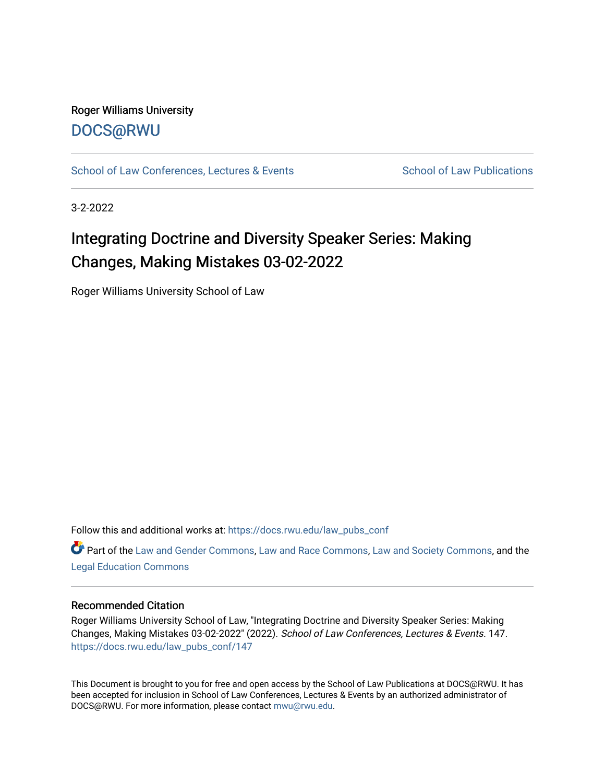## Roger Williams University [DOCS@RWU](https://docs.rwu.edu/)

[School of Law Conferences, Lectures & Events](https://docs.rwu.edu/law_pubs_conf) School of Law Publications

3-2-2022

# Integrating Doctrine and Diversity Speaker Series: Making Changes, Making Mistakes 03-02-2022

Roger Williams University School of Law

Follow this and additional works at: [https://docs.rwu.edu/law\\_pubs\\_conf](https://docs.rwu.edu/law_pubs_conf?utm_source=docs.rwu.edu%2Flaw_pubs_conf%2F147&utm_medium=PDF&utm_campaign=PDFCoverPages) 

Part of the [Law and Gender Commons,](http://network.bepress.com/hgg/discipline/1298?utm_source=docs.rwu.edu%2Flaw_pubs_conf%2F147&utm_medium=PDF&utm_campaign=PDFCoverPages) [Law and Race Commons,](http://network.bepress.com/hgg/discipline/1300?utm_source=docs.rwu.edu%2Flaw_pubs_conf%2F147&utm_medium=PDF&utm_campaign=PDFCoverPages) [Law and Society Commons](http://network.bepress.com/hgg/discipline/853?utm_source=docs.rwu.edu%2Flaw_pubs_conf%2F147&utm_medium=PDF&utm_campaign=PDFCoverPages), and the [Legal Education Commons](http://network.bepress.com/hgg/discipline/857?utm_source=docs.rwu.edu%2Flaw_pubs_conf%2F147&utm_medium=PDF&utm_campaign=PDFCoverPages) 

#### Recommended Citation

Roger Williams University School of Law, "Integrating Doctrine and Diversity Speaker Series: Making Changes, Making Mistakes 03-02-2022" (2022). School of Law Conferences, Lectures & Events. 147. [https://docs.rwu.edu/law\\_pubs\\_conf/147](https://docs.rwu.edu/law_pubs_conf/147?utm_source=docs.rwu.edu%2Flaw_pubs_conf%2F147&utm_medium=PDF&utm_campaign=PDFCoverPages) 

This Document is brought to you for free and open access by the School of Law Publications at DOCS@RWU. It has been accepted for inclusion in School of Law Conferences, Lectures & Events by an authorized administrator of DOCS@RWU. For more information, please contact [mwu@rwu.edu.](mailto:mwu@rwu.edu)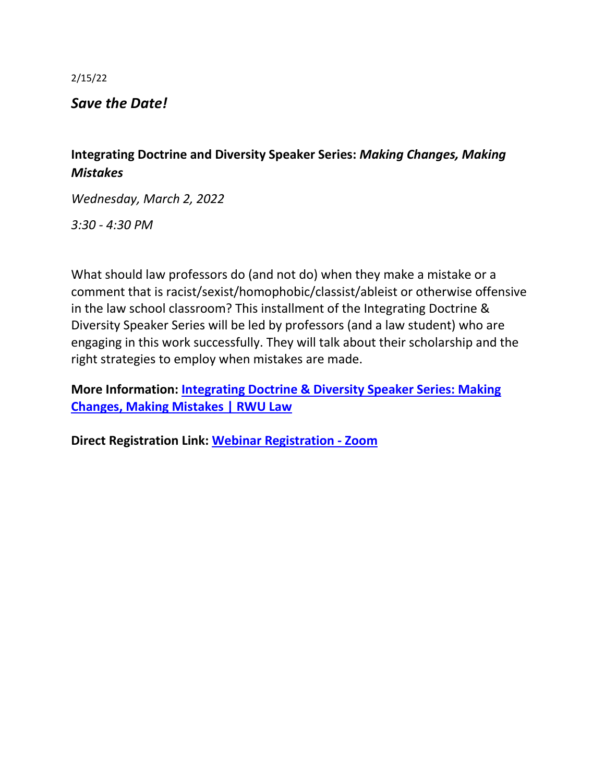2/15/22

*Save the Date!*

## **Integrating Doctrine and Diversity Speaker Series:** *Making Changes, Making Mistakes*

*Wednesday, March 2, 2022*

*3:30 - 4:30 PM*

What should law professors do (and not do) when they make a mistake or a comment that is racist/sexist/homophobic/classist/ableist or otherwise offensive in the law school classroom? This installment of the Integrating Doctrine & Diversity Speaker Series will be led by professors (and a law student) who are engaging in this work successfully. They will talk about their scholarship and the right strategies to employ when mistakes are made.

**More Information: [Integrating Doctrine & Diversity Speaker Series: Making](https://nam02.safelinks.protection.outlook.com/?url=https%3A%2F%2Flaw.rwu.edu%2Fevents%2Fintegrating-doctrine-diversity-speaker-series-making-changes-making-mistakes&data=04%7C01%7Ckmacandrew%40RWU.EDU%7Cee234187caf34da6f64008d9f09e7223%7Cd84edea239e2410aa672331c49c8c4e2%7C0%7C0%7C637805385601649391%7CUnknown%7CTWFpbGZsb3d8eyJWIjoiMC4wLjAwMDAiLCJQIjoiV2luMzIiLCJBTiI6Ik1haWwiLCJXVCI6Mn0%3D%7C3000&sdata=NrtU9nTg50syD1Ql%2BfzKOs1QiuJCgB3MeC6vS9iIm7s%3D&reserved=0)  [Changes, Making Mistakes | RWU Law](https://nam02.safelinks.protection.outlook.com/?url=https%3A%2F%2Flaw.rwu.edu%2Fevents%2Fintegrating-doctrine-diversity-speaker-series-making-changes-making-mistakes&data=04%7C01%7Ckmacandrew%40RWU.EDU%7Cee234187caf34da6f64008d9f09e7223%7Cd84edea239e2410aa672331c49c8c4e2%7C0%7C0%7C637805385601649391%7CUnknown%7CTWFpbGZsb3d8eyJWIjoiMC4wLjAwMDAiLCJQIjoiV2luMzIiLCJBTiI6Ik1haWwiLCJXVCI6Mn0%3D%7C3000&sdata=NrtU9nTg50syD1Ql%2BfzKOs1QiuJCgB3MeC6vS9iIm7s%3D&reserved=0)**

**Direct Registration Link: [Webinar Registration -](https://nam02.safelinks.protection.outlook.com/?url=https%3A%2F%2Frwu.zoom.us%2Fwebinar%2Fregister%2FWN_305L-XutSL-3YwyW6Vhy5g&data=04%7C01%7Ckmacandrew%40RWU.EDU%7Cee234187caf34da6f64008d9f09e7223%7Cd84edea239e2410aa672331c49c8c4e2%7C0%7C0%7C637805385601649391%7CUnknown%7CTWFpbGZsb3d8eyJWIjoiMC4wLjAwMDAiLCJQIjoiV2luMzIiLCJBTiI6Ik1haWwiLCJXVCI6Mn0%3D%7C3000&sdata=0LuljBS2klLSPhvRfNBWAPlt9Z4jILH0xSmvdLpalTM%3D&reserved=0) Zoom**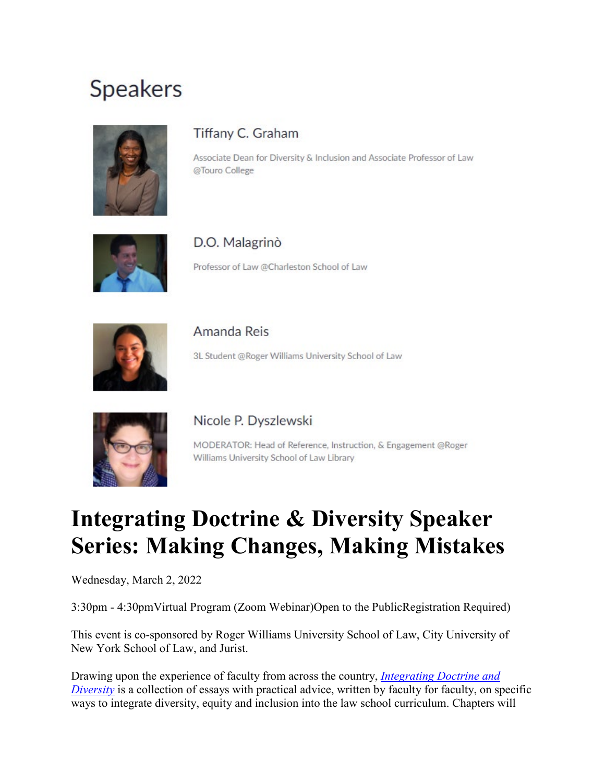# **Speakers**



# Tiffany C. Graham

Associate Dean for Diversity & Inclusion and Associate Professor of Law @Touro College



### D.O. Malagrinò

Professor of Law @Charleston School of Law



# Amanda Reis 3L Student @Roger Williams University School of Law



## Nicole P. Dyszlewski

MODERATOR: Head of Reference, Instruction, & Engagement @Roger Williams University School of Law Library

# **Integrating Doctrine & Diversity Speaker Series: Making Changes, Making Mistakes**

Wednesday, March 2, 2022

3:30pm - 4:30pmVirtual Program (Zoom Webinar)Open to the PublicRegistration Required)

This event is co-sponsored by Roger Williams University School of Law, City University of New York School of Law, and Jurist.

Drawing upon the experience of faculty from across the country, *[Integrating Doctrine and](https://integratingdoctrineanddiversity.com/)  [Diversity](https://integratingdoctrineanddiversity.com/)* is a collection of essays with practical advice, written by faculty for faculty, on specific ways to integrate diversity, equity and inclusion into the law school curriculum. Chapters will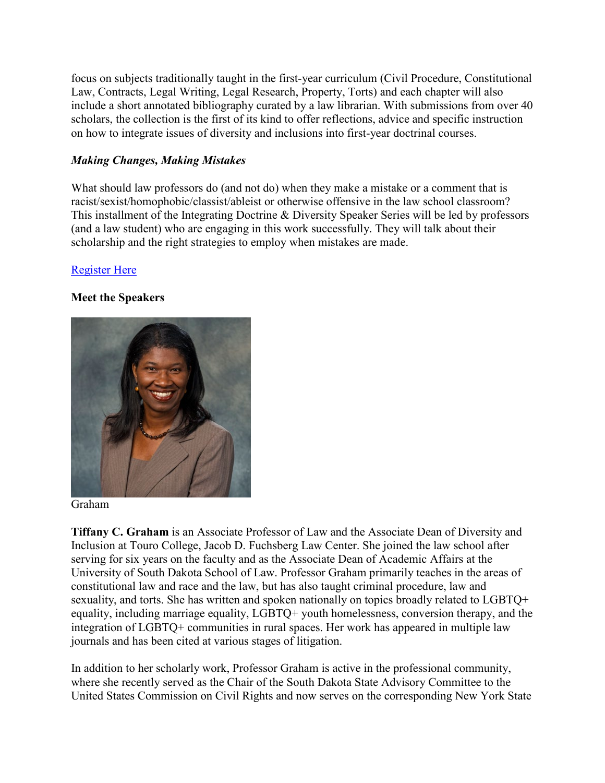focus on subjects traditionally taught in the first-year curriculum (Civil Procedure, Constitutional Law, Contracts, Legal Writing, Legal Research, Property, Torts) and each chapter will also include a short annotated bibliography curated by a law librarian. With submissions from over 40 scholars, the collection is the first of its kind to offer reflections, advice and specific instruction on how to integrate issues of diversity and inclusions into first-year doctrinal courses.

### *Making Changes, Making Mistakes*

What should law professors do (and not do) when they make a mistake or a comment that is racist/sexist/homophobic/classist/ableist or otherwise offensive in the law school classroom? This installment of the Integrating Doctrine & Diversity Speaker Series will be led by professors (and a law student) who are engaging in this work successfully. They will talk about their scholarship and the right strategies to employ when mistakes are made.

### [Register Here](https://rwu.zoom.us/webinar/register/WN_305L-XutSL-3YwyW6Vhy5g)

#### **Meet the Speakers**



Graham

**Tiffany C. Graham** is an Associate Professor of Law and the Associate Dean of Diversity and Inclusion at Touro College, Jacob D. Fuchsberg Law Center. She joined the law school after serving for six years on the faculty and as the Associate Dean of Academic Affairs at the University of South Dakota School of Law. Professor Graham primarily teaches in the areas of constitutional law and race and the law, but has also taught criminal procedure, law and sexuality, and torts. She has written and spoken nationally on topics broadly related to LGBTQ+ equality, including marriage equality, LGBTQ+ youth homelessness, conversion therapy, and the integration of LGBTQ+ communities in rural spaces. Her work has appeared in multiple law journals and has been cited at various stages of litigation.

In addition to her scholarly work, Professor Graham is active in the professional community, where she recently served as the Chair of the South Dakota State Advisory Committee to the United States Commission on Civil Rights and now serves on the corresponding New York State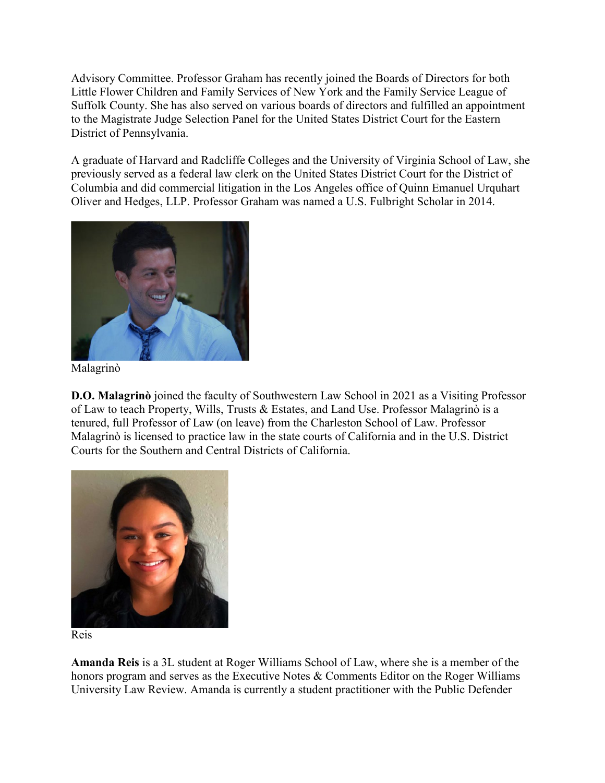Advisory Committee. Professor Graham has recently joined the Boards of Directors for both Little Flower Children and Family Services of New York and the Family Service League of Suffolk County. She has also served on various boards of directors and fulfilled an appointment to the Magistrate Judge Selection Panel for the United States District Court for the Eastern District of Pennsylvania.

A graduate of Harvard and Radcliffe Colleges and the University of Virginia School of Law, she previously served as a federal law clerk on the United States District Court for the District of Columbia and did commercial litigation in the Los Angeles office of Quinn Emanuel Urquhart Oliver and Hedges, LLP. Professor Graham was named a U.S. Fulbright Scholar in 2014.



Malagrinò

**D.O. Malagrinò** joined the faculty of Southwestern Law School in 2021 as a Visiting Professor of Law to teach Property, Wills, Trusts & Estates, and Land Use. Professor Malagrinò is a tenured, full Professor of Law (on leave) from the Charleston School of Law. Professor Malagrinò is licensed to practice law in the state courts of California and in the U.S. District Courts for the Southern and Central Districts of California.





**Amanda Reis** is a 3L student at Roger Williams School of Law, where she is a member of the honors program and serves as the Executive Notes & Comments Editor on the Roger Williams University Law Review. Amanda is currently a student practitioner with the Public Defender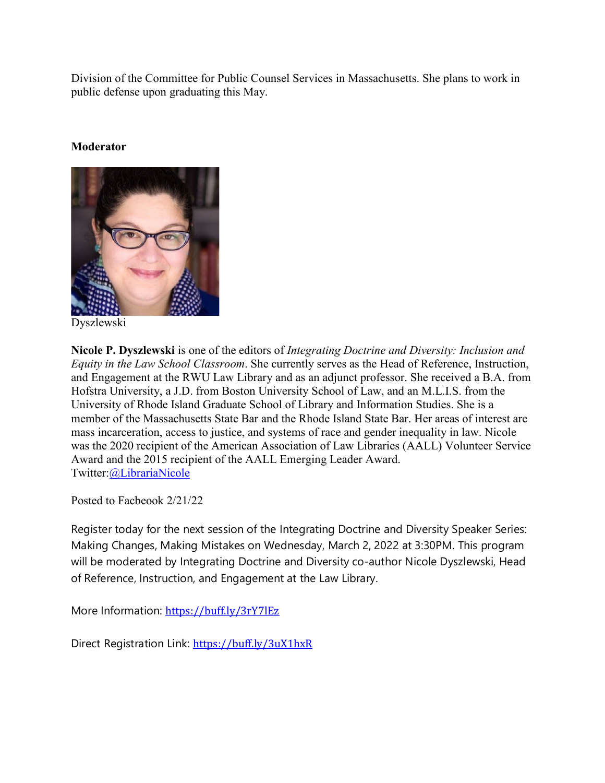Division of the Committee for Public Counsel Services in Massachusetts. She plans to work in public defense upon graduating this May.

#### **Moderator**



Dyszlewski

**Nicole P. Dyszlewski** is one of the editors of *Integrating Doctrine and Diversity: Inclusion and Equity in the Law School Classroom*. She currently serves as the Head of Reference, Instruction, and Engagement at the RWU Law Library and as an adjunct professor. She received a B.A. from Hofstra University, a J.D. from Boston University School of Law, and an M.L.I.S. from the University of Rhode Island Graduate School of Library and Information Studies. She is a member of the Massachusetts State Bar and the Rhode Island State Bar. Her areas of interest are mass incarceration, access to justice, and systems of race and gender inequality in law. Nicole was the 2020 recipient of the American Association of Law Libraries (AALL) Volunteer Service Award and the 2015 recipient of the AALL Emerging Leader Award. Twitter[:@LibrariaNicole](https://twitter.com/LibrariaNicole)

Posted to Facbeook 2/21/22

Register today for the next session of the Integrating Doctrine and Diversity Speaker Series: Making Changes, Making Mistakes on Wednesday, March 2, 2022 at 3:30PM. This program will be moderated by Integrating Doctrine and Diversity co-author Nicole Dyszlewski, Head of Reference, Instruction, and Engagement at the Law Library.

More Information: [https://buff.ly/3rY7lEz](https://buff.ly/3rY7lEz?fbclid=IwAR32-wL_wDrLQxnH4-cVbTrSMnWWw-rFhv6U5YnCLgKHo8NTySrE6gqyIvI)

Direct Registration Link: [https://buff.ly/3uX1hxR](https://buff.ly/3uX1hxR?fbclid=IwAR0nSC9lv_P_fxLJpKKTzbGMTv5YsGSNd7H6_YKQRnc9Ss-x2nNEXgGWVaU)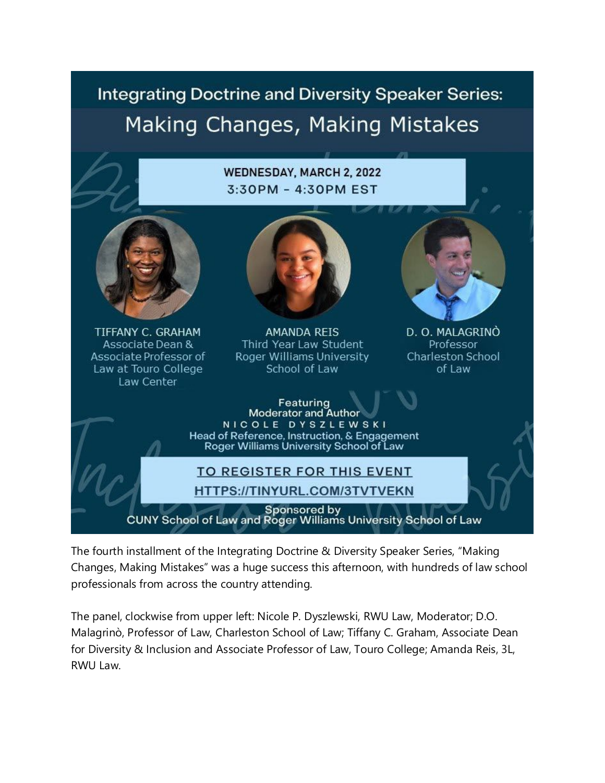# **Integrating Doctrine and Diversity Speaker Series:** Making Changes, Making Mistakes

### **WEDNESDAY, MARCH 2, 2022** 3:30PM - 4:30PM EST



**TIFFANY C. GRAHAM** Associate Dean & Associate Professor of Law at Touro College Law Center



**AMANDA REIS** Third Year Law Student Roger Williams University School of Law



D. O. MALAGRINÒ Professor Charleston School oflaw

Featuring **Moderator and Author** NICOLE DYSZLEWSKI Head of Reference, Instruction, & Engagement Roger Williams University School of Law

### **TO REGISTER FOR THIS EVENT** HTTPS://TINYURL.COM/3TVTVEKN

Sponsored by

CUNY School of Law and Roger Williams University School of Law

The fourth installment of the Integrating Doctrine & Diversity Speaker Series, "Making Changes, Making Mistakes" was a huge success this afternoon, with hundreds of law school professionals from across the country attending.

The panel, clockwise from upper left: Nicole P. Dyszlewski, RWU Law, Moderator; D.O. Malagrinò, Professor of Law, Charleston School of Law; Tiffany C. Graham, Associate Dean for Diversity & Inclusion and Associate Professor of Law, Touro College; Amanda Reis, 3L, RWU Law.